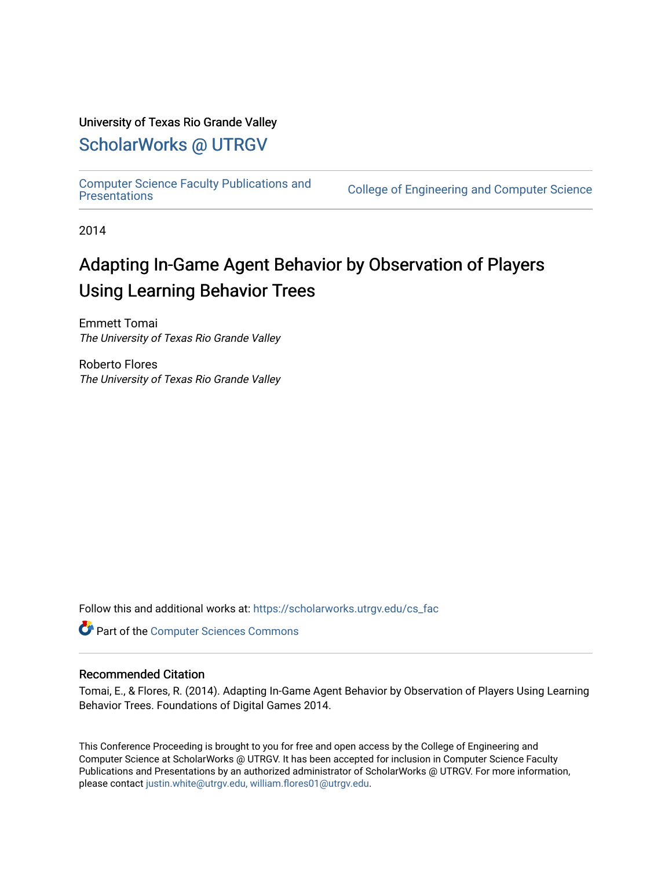# University of Texas Rio Grande Valley

# [ScholarWorks @ UTRGV](https://scholarworks.utrgv.edu/)

[Computer Science Faculty Publications and](https://scholarworks.utrgv.edu/cs_fac) 

College of Engineering and Computer Science

2014

# Adapting In-Game Agent Behavior by Observation of Players Using Learning Behavior Trees

Emmett Tomai The University of Texas Rio Grande Valley

Roberto Flores The University of Texas Rio Grande Valley

Follow this and additional works at: [https://scholarworks.utrgv.edu/cs\\_fac](https://scholarworks.utrgv.edu/cs_fac?utm_source=scholarworks.utrgv.edu%2Fcs_fac%2F11&utm_medium=PDF&utm_campaign=PDFCoverPages) 

**Part of the [Computer Sciences Commons](http://network.bepress.com/hgg/discipline/142?utm_source=scholarworks.utrgv.edu%2Fcs_fac%2F11&utm_medium=PDF&utm_campaign=PDFCoverPages)** 

# Recommended Citation

Tomai, E., & Flores, R. (2014). Adapting In-Game Agent Behavior by Observation of Players Using Learning Behavior Trees. Foundations of Digital Games 2014.

This Conference Proceeding is brought to you for free and open access by the College of Engineering and Computer Science at ScholarWorks @ UTRGV. It has been accepted for inclusion in Computer Science Faculty Publications and Presentations by an authorized administrator of ScholarWorks @ UTRGV. For more information, please contact [justin.white@utrgv.edu, william.flores01@utrgv.edu](mailto:justin.white@utrgv.edu,%20william.flores01@utrgv.edu).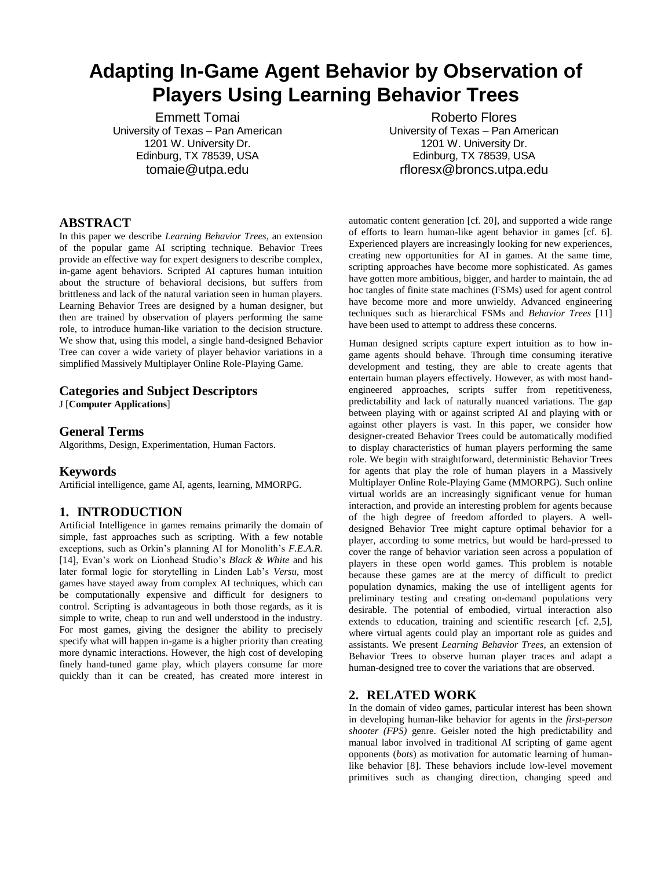# **Adapting In-Game Agent Behavior by Observation of Players Using Learning Behavior Trees**

Emmett Tomai University of Texas – Pan American 1201 W. University Dr. Edinburg, TX 78539, USA tomaie@utpa.edu

# **ABSTRACT**

In this paper we describe *Learning Behavior Trees*, an extension of the popular game AI scripting technique. Behavior Trees provide an effective way for expert designers to describe complex, in-game agent behaviors. Scripted AI captures human intuition about the structure of behavioral decisions, but suffers from brittleness and lack of the natural variation seen in human players. Learning Behavior Trees are designed by a human designer, but then are trained by observation of players performing the same role, to introduce human-like variation to the decision structure. We show that, using this model, a single hand-designed Behavior Tree can cover a wide variety of player behavior variations in a simplified Massively Multiplayer Online Role-Playing Game.

## **Categories and Subject Descriptors**

J [**Computer Applications**]

### **General Terms**

Algorithms, Design, Experimentation, Human Factors.

### **Keywords**

Artificial intelligence, game AI, agents, learning, MMORPG.

## **1. INTRODUCTION**

Artificial Intelligence in games remains primarily the domain of simple, fast approaches such as scripting. With a few notable exceptions, such as Orkin's planning AI for Monolith's *F.E.A.R.* [14], Evan's work on Lionhead Studio's *Black & White* and his later formal logic for storytelling in Linden Lab's *Versu*, most games have stayed away from complex AI techniques, which can be computationally expensive and difficult for designers to control. Scripting is advantageous in both those regards, as it is simple to write, cheap to run and well understood in the industry. For most games, giving the designer the ability to precisely specify what will happen in-game is a higher priority than creating more dynamic interactions. However, the high cost of developing finely hand-tuned game play, which players consume far more quickly than it can be created, has created more interest in

Roberto Flores University of Texas – Pan American 1201 W. University Dr. Edinburg, TX 78539, USA rfloresx@broncs.utpa.edu

automatic content generation [cf. 20], and supported a wide range of efforts to learn human-like agent behavior in games [cf. 6]. Experienced players are increasingly looking for new experiences, creating new opportunities for AI in games. At the same time, scripting approaches have become more sophisticated. As games have gotten more ambitious, bigger, and harder to maintain, the ad hoc tangles of finite state machines (FSMs) used for agent control have become more and more unwieldy. Advanced engineering techniques such as hierarchical FSMs and *Behavior Trees* [11] have been used to attempt to address these concerns.

Human designed scripts capture expert intuition as to how ingame agents should behave. Through time consuming iterative development and testing, they are able to create agents that entertain human players effectively. However, as with most handengineered approaches, scripts suffer from repetitiveness, predictability and lack of naturally nuanced variations. The gap between playing with or against scripted AI and playing with or against other players is vast. In this paper, we consider how designer-created Behavior Trees could be automatically modified to display characteristics of human players performing the same role. We begin with straightforward, deterministic Behavior Trees for agents that play the role of human players in a Massively Multiplayer Online Role-Playing Game (MMORPG). Such online virtual worlds are an increasingly significant venue for human interaction, and provide an interesting problem for agents because of the high degree of freedom afforded to players. A welldesigned Behavior Tree might capture optimal behavior for a player, according to some metrics, but would be hard-pressed to cover the range of behavior variation seen across a population of players in these open world games. This problem is notable because these games are at the mercy of difficult to predict population dynamics, making the use of intelligent agents for preliminary testing and creating on-demand populations very desirable. The potential of embodied, virtual interaction also extends to education, training and scientific research [cf. 2,5], where virtual agents could play an important role as guides and assistants. We present *Learning Behavior Trees*, an extension of Behavior Trees to observe human player traces and adapt a human-designed tree to cover the variations that are observed.

# **2. RELATED WORK**

In the domain of video games, particular interest has been shown in developing human-like behavior for agents in the *first-person shooter (FPS)* genre. Geisler noted the high predictability and manual labor involved in traditional AI scripting of game agent opponents (*bots*) as motivation for automatic learning of humanlike behavior [8]. These behaviors include low-level movement primitives such as changing direction, changing speed and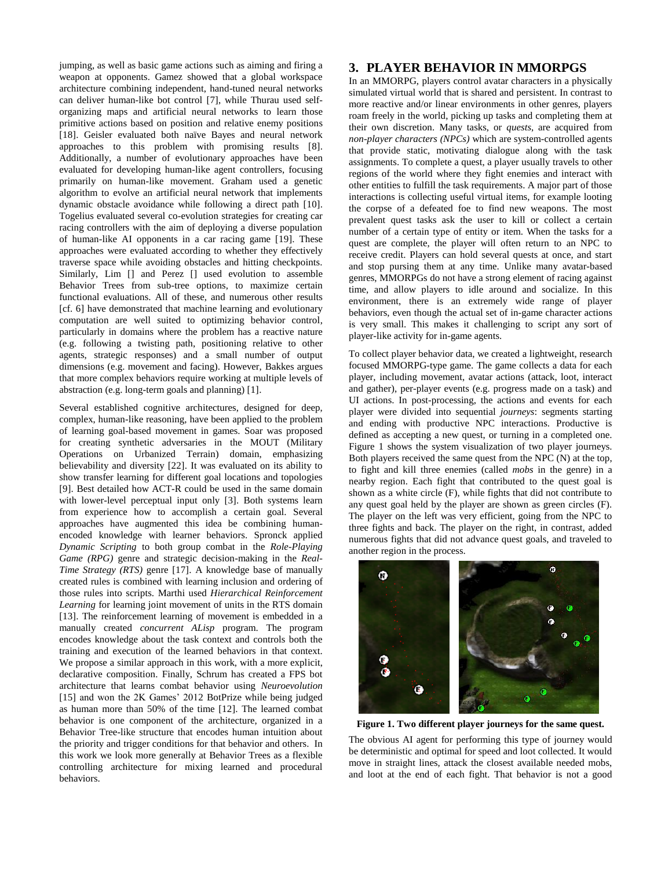jumping, as well as basic game actions such as aiming and firing a weapon at opponents. Gamez showed that a global workspace architecture combining independent, hand-tuned neural networks can deliver human-like bot control [7], while Thurau used selforganizing maps and artificial neural networks to learn those primitive actions based on position and relative enemy positions [18]. Geisler evaluated both naïve Bayes and neural network approaches to this problem with promising results [8]. Additionally, a number of evolutionary approaches have been evaluated for developing human-like agent controllers, focusing primarily on human-like movement. Graham used a genetic algorithm to evolve an artificial neural network that implements dynamic obstacle avoidance while following a direct path [10]. Togelius evaluated several co-evolution strategies for creating car racing controllers with the aim of deploying a diverse population of human-like AI opponents in a car racing game [19]. These approaches were evaluated according to whether they effectively traverse space while avoiding obstacles and hitting checkpoints. Similarly, Lim [] and Perez [] used evolution to assemble Behavior Trees from sub-tree options, to maximize certain functional evaluations. All of these, and numerous other results [cf. 6] have demonstrated that machine learning and evolutionary computation are well suited to optimizing behavior control, particularly in domains where the problem has a reactive nature (e.g. following a twisting path, positioning relative to other agents, strategic responses) and a small number of output dimensions (e.g. movement and facing). However, Bakkes argues that more complex behaviors require working at multiple levels of abstraction (e.g. long-term goals and planning) [1].

Several established cognitive architectures, designed for deep, complex, human-like reasoning, have been applied to the problem of learning goal-based movement in games. Soar was proposed for creating synthetic adversaries in the MOUT (Military Operations on Urbanized Terrain) domain, emphasizing believability and diversity [22]. It was evaluated on its ability to show transfer learning for different goal locations and topologies [9]. Best detailed how ACT-R could be used in the same domain with lower-level perceptual input only [3]. Both systems learn from experience how to accomplish a certain goal. Several approaches have augmented this idea be combining humanencoded knowledge with learner behaviors. Spronck applied *Dynamic Scripting* to both group combat in the *Role-Playing Game (RPG)* genre and strategic decision-making in the *Real-Time Strategy (RTS)* genre [17]. A knowledge base of manually created rules is combined with learning inclusion and ordering of those rules into scripts. Marthi used *Hierarchical Reinforcement Learning* for learning joint movement of units in the RTS domain [13]. The reinforcement learning of movement is embedded in a manually created *concurrent ALisp* program. The program encodes knowledge about the task context and controls both the training and execution of the learned behaviors in that context. We propose a similar approach in this work, with a more explicit, declarative composition. Finally, Schrum has created a FPS bot architecture that learns combat behavior using *Neuroevolution* [15] and won the 2K Games' 2012 BotPrize while being judged as human more than 50% of the time [12]. The learned combat behavior is one component of the architecture, organized in a Behavior Tree-like structure that encodes human intuition about the priority and trigger conditions for that behavior and others. In this work we look more generally at Behavior Trees as a flexible controlling architecture for mixing learned and procedural behaviors.

# **3. PLAYER BEHAVIOR IN MMORPGS**

In an MMORPG, players control avatar characters in a physically simulated virtual world that is shared and persistent. In contrast to more reactive and/or linear environments in other genres, players roam freely in the world, picking up tasks and completing them at their own discretion. Many tasks, or *quests*, are acquired from *non-player characters (NPCs)* which are system-controlled agents that provide static, motivating dialogue along with the task assignments. To complete a quest, a player usually travels to other regions of the world where they fight enemies and interact with other entities to fulfill the task requirements. A major part of those interactions is collecting useful virtual items, for example looting the corpse of a defeated foe to find new weapons. The most prevalent quest tasks ask the user to kill or collect a certain number of a certain type of entity or item. When the tasks for a quest are complete, the player will often return to an NPC to receive credit. Players can hold several quests at once, and start and stop pursing them at any time. Unlike many avatar-based genres, MMORPGs do not have a strong element of racing against time, and allow players to idle around and socialize. In this environment, there is an extremely wide range of player behaviors, even though the actual set of in-game character actions is very small. This makes it challenging to script any sort of player-like activity for in-game agents.

To collect player behavior data, we created a lightweight, research focused MMORPG-type game. The game collects a data for each player, including movement, avatar actions (attack, loot, interact and gather), per-player events (e.g. progress made on a task) and UI actions. In post-processing, the actions and events for each player were divided into sequential *journeys*: segments starting and ending with productive NPC interactions. Productive is defined as accepting a new quest, or turning in a completed one. Figure 1 shows the system visualization of two player journeys. Both players received the same quest from the NPC (N) at the top, to fight and kill three enemies (called *mobs* in the genre) in a nearby region. Each fight that contributed to the quest goal is shown as a white circle (F), while fights that did not contribute to any quest goal held by the player are shown as green circles (F). The player on the left was very efficient, going from the NPC to three fights and back. The player on the right, in contrast, added numerous fights that did not advance quest goals, and traveled to another region in the process.



**Figure 1. Two different player journeys for the same quest.**

The obvious AI agent for performing this type of journey would be deterministic and optimal for speed and loot collected. It would move in straight lines, attack the closest available needed mobs, and loot at the end of each fight. That behavior is not a good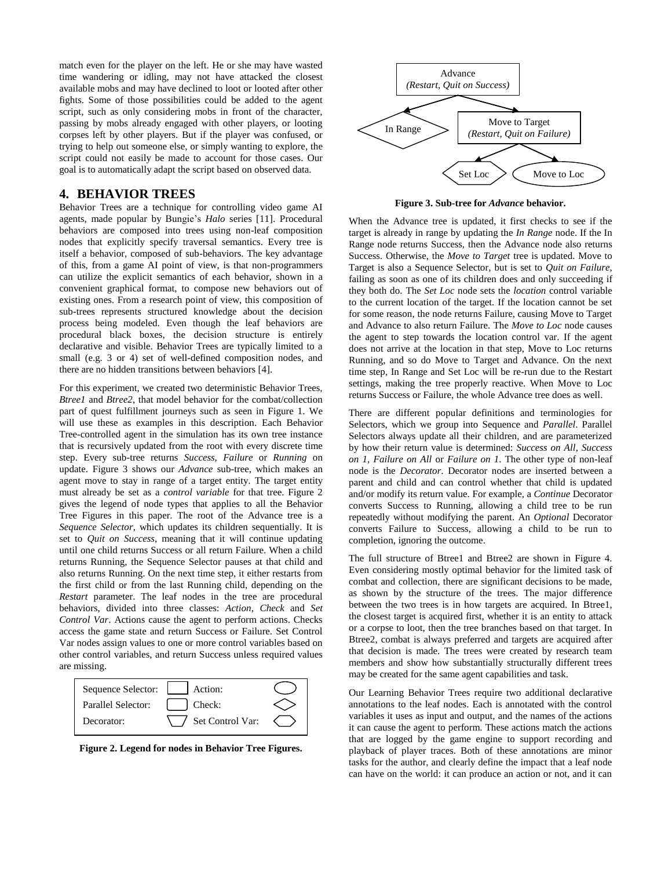match even for the player on the left. He or she may have wasted time wandering or idling, may not have attacked the closest available mobs and may have declined to loot or looted after other fights. Some of those possibilities could be added to the agent script, such as only considering mobs in front of the character, passing by mobs already engaged with other players, or looting corpses left by other players. But if the player was confused, or trying to help out someone else, or simply wanting to explore, the script could not easily be made to account for those cases. Our goal is to automatically adapt the script based on observed data.

# **4. BEHAVIOR TREES**

Behavior Trees are a technique for controlling video game AI agents, made popular by Bungie's *Halo* series [11]. Procedural behaviors are composed into trees using non-leaf composition nodes that explicitly specify traversal semantics. Every tree is itself a behavior, composed of sub-behaviors. The key advantage of this, from a game AI point of view, is that non-programmers can utilize the explicit semantics of each behavior, shown in a convenient graphical format, to compose new behaviors out of existing ones. From a research point of view, this composition of sub-trees represents structured knowledge about the decision process being modeled. Even though the leaf behaviors are procedural black boxes, the decision structure is entirely declarative and visible. Behavior Trees are typically limited to a small (e.g. 3 or 4) set of well-defined composition nodes, and there are no hidden transitions between behaviors [4].

For this experiment, we created two deterministic Behavior Trees, *Btree1* and *Btree2*, that model behavior for the combat/collection part of quest fulfillment journeys such as seen in Figure 1. We will use these as examples in this description. Each Behavior Tree-controlled agent in the simulation has its own tree instance that is recursively updated from the root with every discrete time step. Every sub-tree returns *Success*, *Failure* or *Running* on update. Figure 3 shows our *Advance* sub-tree, which makes an agent move to stay in range of a target entity. The target entity must already be set as a *control variable* for that tree. Figure 2 gives the legend of node types that applies to all the Behavior Tree Figures in this paper. The root of the Advance tree is a *Sequence Selector*, which updates its children sequentially. It is set to *Quit on Success*, meaning that it will continue updating until one child returns Success or all return Failure. When a child returns Running, the Sequence Selector pauses at that child and also returns Running. On the next time step, it either restarts from the first child or from the last Running child, depending on the *Restart* parameter. The leaf nodes in the tree are procedural behaviors, divided into three classes: *Action*, *Check* and *Set Control Var*. Actions cause the agent to perform actions. Checks access the game state and return Success or Failure. Set Control Var nodes assign values to one or more control variables based on other control variables, and return Success unless required values are missing.



**Figure 2. Legend for nodes in Behavior Tree Figures.**



**Figure 3. Sub-tree for** *Advance* **behavior.**

When the Advance tree is updated, it first checks to see if the target is already in range by updating the *In Range* node. If the In Range node returns Success, then the Advance node also returns Success. Otherwise, the *Move to Target* tree is updated. Move to Target is also a Sequence Selector, but is set to *Quit on Failure*, failing as soon as one of its children does and only succeeding if they both do. The *Set Loc* node sets the *location* control variable to the current location of the target. If the location cannot be set for some reason, the node returns Failure, causing Move to Target and Advance to also return Failure. The *Move to Loc* node causes the agent to step towards the location control var. If the agent does not arrive at the location in that step, Move to Loc returns Running, and so do Move to Target and Advance. On the next time step, In Range and Set Loc will be re-run due to the Restart settings, making the tree properly reactive. When Move to Loc returns Success or Failure, the whole Advance tree does as well.

There are different popular definitions and terminologies for Selectors, which we group into Sequence and *Parallel*. Parallel Selectors always update all their children, and are parameterized by how their return value is determined: *Success on All*, *Success on 1*, *Failure on All* or *Failure on 1*. The other type of non-leaf node is the *Decorator*. Decorator nodes are inserted between a parent and child and can control whether that child is updated and/or modify its return value. For example, a *Continue* Decorator converts Success to Running, allowing a child tree to be run repeatedly without modifying the parent. An *Optional* Decorator converts Failure to Success, allowing a child to be run to completion, ignoring the outcome.

The full structure of Btree1 and Btree2 are shown in Figure 4. Even considering mostly optimal behavior for the limited task of combat and collection, there are significant decisions to be made, as shown by the structure of the trees. The major difference between the two trees is in how targets are acquired. In Btree1, the closest target is acquired first, whether it is an entity to attack or a corpse to loot, then the tree branches based on that target. In Btree2, combat is always preferred and targets are acquired after that decision is made. The trees were created by research team members and show how substantially structurally different trees may be created for the same agent capabilities and task.

Our Learning Behavior Trees require two additional declarative annotations to the leaf nodes. Each is annotated with the control variables it uses as input and output, and the names of the actions it can cause the agent to perform. These actions match the actions that are logged by the game engine to support recording and playback of player traces. Both of these annotations are minor tasks for the author, and clearly define the impact that a leaf node can have on the world: it can produce an action or not, and it can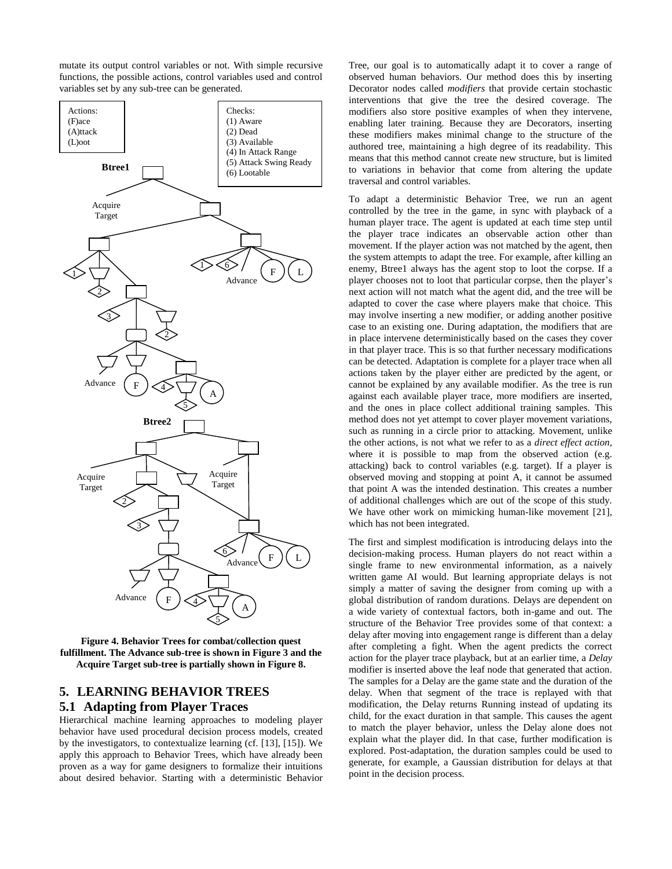mutate its output control variables or not. With simple recursive functions, the possible actions, control variables used and control variables set by any sub-tree can be generated.



**Figure 4. Behavior Trees for combat/collection quest fulfillment. The Advance sub-tree is shown in Figure 3 and the Acquire Target sub-tree is partially shown in Figure 8.**

# **5. LEARNING BEHAVIOR TREES 5.1 Adapting from Player Traces**

Hierarchical machine learning approaches to modeling player behavior have used procedural decision process models, created by the investigators, to contextualize learning (cf. [13], [15]). We apply this approach to Behavior Trees, which have already been proven as a way for game designers to formalize their intuitions about desired behavior. Starting with a deterministic Behavior Tree, our goal is to automatically adapt it to cover a range of observed human behaviors. Our method does this by inserting Decorator nodes called *modifiers* that provide certain stochastic interventions that give the tree the desired coverage. The modifiers also store positive examples of when they intervene, enabling later training. Because they are Decorators, inserting these modifiers makes minimal change to the structure of the authored tree, maintaining a high degree of its readability. This means that this method cannot create new structure, but is limited to variations in behavior that come from altering the update traversal and control variables.

To adapt a deterministic Behavior Tree, we run an agent controlled by the tree in the game, in sync with playback of a human player trace. The agent is updated at each time step until the player trace indicates an observable action other than movement. If the player action was not matched by the agent, then the system attempts to adapt the tree. For example, after killing an enemy, Btree1 always has the agent stop to loot the corpse. If a player chooses not to loot that particular corpse, then the player's next action will not match what the agent did, and the tree will be adapted to cover the case where players make that choice. This may involve inserting a new modifier, or adding another positive case to an existing one. During adaptation, the modifiers that are in place intervene deterministically based on the cases they cover in that player trace. This is so that further necessary modifications can be detected. Adaptation is complete for a player trace when all actions taken by the player either are predicted by the agent, or cannot be explained by any available modifier. As the tree is run against each available player trace, more modifiers are inserted, and the ones in place collect additional training samples. This method does not yet attempt to cover player movement variations, such as running in a circle prior to attacking. Movement, unlike the other actions, is not what we refer to as a *direct effect action*, where it is possible to map from the observed action (e.g. attacking) back to control variables (e.g. target). If a player is observed moving and stopping at point A, it cannot be assumed that point A was the intended destination. This creates a number of additional challenges which are out of the scope of this study. We have other work on mimicking human-like movement [21], which has not been integrated.

The first and simplest modification is introducing delays into the decision-making process. Human players do not react within a single frame to new environmental information, as a naively written game AI would. But learning appropriate delays is not simply a matter of saving the designer from coming up with a global distribution of random durations. Delays are dependent on a wide variety of contextual factors, both in-game and out. The structure of the Behavior Tree provides some of that context: a delay after moving into engagement range is different than a delay after completing a fight. When the agent predicts the correct action for the player trace playback, but at an earlier time, a *Delay* modifier is inserted above the leaf node that generated that action. The samples for a Delay are the game state and the duration of the delay. When that segment of the trace is replayed with that modification, the Delay returns Running instead of updating its child, for the exact duration in that sample. This causes the agent to match the player behavior, unless the Delay alone does not explain what the player did. In that case, further modification is explored. Post-adaptation, the duration samples could be used to generate, for example, a Gaussian distribution for delays at that point in the decision process.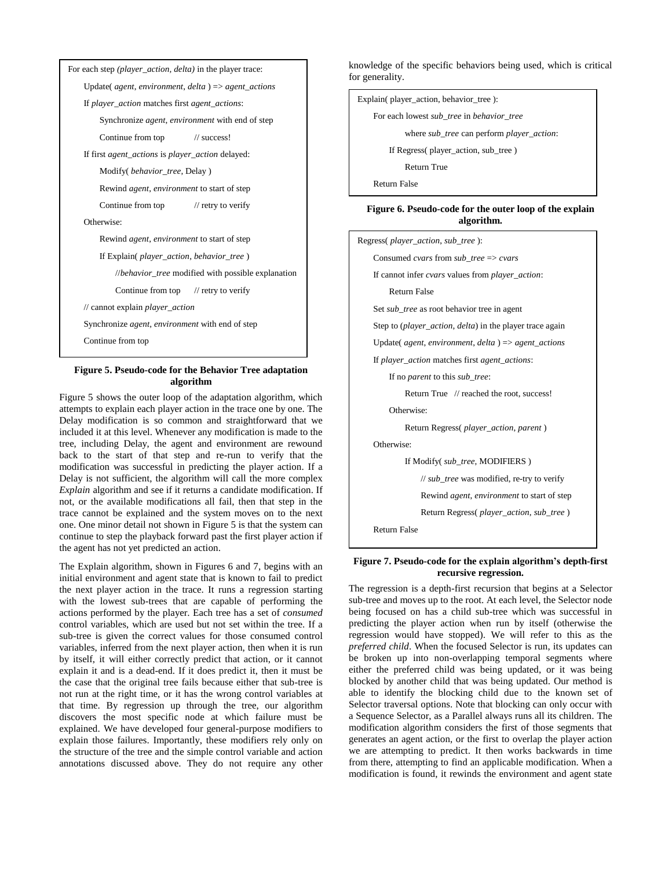

### **Figure 5. Pseudo-code for the Behavior Tree adaptation algorithm**

Figure 5 shows the outer loop of the adaptation algorithm, which attempts to explain each player action in the trace one by one. The Delay modification is so common and straightforward that we included it at this level. Whenever any modification is made to the tree, including Delay, the agent and environment are rewound back to the start of that step and re-run to verify that the modification was successful in predicting the player action. If a Delay is not sufficient, the algorithm will call the more complex *Explain* algorithm and see if it returns a candidate modification. If not, or the available modifications all fail, then that step in the trace cannot be explained and the system moves on to the next one. One minor detail not shown in Figure 5 is that the system can continue to step the playback forward past the first player action if the agent has not yet predicted an action.

The Explain algorithm, shown in Figures 6 and 7, begins with an initial environment and agent state that is known to fail to predict the next player action in the trace. It runs a regression starting with the lowest sub-trees that are capable of performing the actions performed by the player. Each tree has a set of *consumed* control variables, which are used but not set within the tree. If a sub-tree is given the correct values for those consumed control variables, inferred from the next player action, then when it is run by itself, it will either correctly predict that action, or it cannot explain it and is a dead-end. If it does predict it, then it must be the case that the original tree fails because either that sub-tree is not run at the right time, or it has the wrong control variables at that time. By regression up through the tree, our algorithm discovers the most specific node at which failure must be explained. We have developed four general-purpose modifiers to explain those failures. Importantly, these modifiers rely only on the structure of the tree and the simple control variable and action annotations discussed above. They do not require any other knowledge of the specific behaviors being used, which is critical for generality.

Explain( player\_action, behavior\_tree ):

For each lowest *sub\_tree* in *behavior\_tree*

where *sub\_tree* can perform *player\_action*:

If Regress( player\_action, sub\_tree )

Return True

Return False

#### **Figure 6. Pseudo-code for the outer loop of the explain algorithm.**

Regress( *player\_action*, *sub\_tree* ):

Consumed *cvars* from *sub\_tree* => *cvars*

If cannot infer *cvars* values from *player\_action*:

Return False

Set *sub\_tree* as root behavior tree in agent

Step to (*player\_action*, *delta*) in the player trace again

Update( *agent*, *environment*, *delta* ) => *agent\_actions*

If *player\_action* matches first *agent\_actions*:

If no *parent* to this *sub\_tree*:

Return True // reached the root, success!

Otherwise:

Return Regress( *player\_action*, *parent* )

Otherwise:

If Modify( *sub\_tree*, MODIFIERS )

// *sub\_tree* was modified, re-try to verify

Rewind *agent*, *environment* to start of step

Return Regress( *player\_action*, *sub\_tree* )

Return False

#### **Figure 7. Pseudo-code for the explain algorithm's depth-first recursive regression.**

The regression is a depth-first recursion that begins at a Selector sub-tree and moves up to the root. At each level, the Selector node being focused on has a child sub-tree which was successful in predicting the player action when run by itself (otherwise the regression would have stopped). We will refer to this as the *preferred child*. When the focused Selector is run, its updates can be broken up into non-overlapping temporal segments where either the preferred child was being updated, or it was being blocked by another child that was being updated. Our method is able to identify the blocking child due to the known set of Selector traversal options. Note that blocking can only occur with a Sequence Selector, as a Parallel always runs all its children. The modification algorithm considers the first of those segments that generates an agent action, or the first to overlap the player action we are attempting to predict. It then works backwards in time from there, attempting to find an applicable modification. When a modification is found, it rewinds the environment and agent state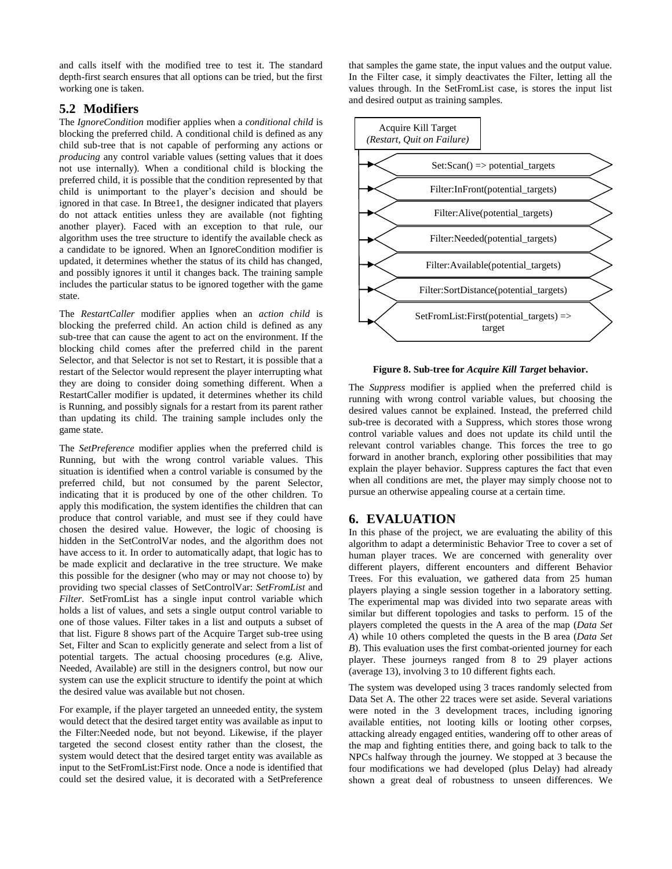and calls itself with the modified tree to test it. The standard depth-first search ensures that all options can be tried, but the first working one is taken.

# **5.2 Modifiers**

The *IgnoreCondition* modifier applies when a *conditional child* is blocking the preferred child. A conditional child is defined as any child sub-tree that is not capable of performing any actions or *producing* any control variable values (setting values that it does not use internally). When a conditional child is blocking the preferred child, it is possible that the condition represented by that child is unimportant to the player's decision and should be ignored in that case. In Btree1, the designer indicated that players do not attack entities unless they are available (not fighting another player). Faced with an exception to that rule, our algorithm uses the tree structure to identify the available check as a candidate to be ignored. When an IgnoreCondition modifier is updated, it determines whether the status of its child has changed, and possibly ignores it until it changes back. The training sample includes the particular status to be ignored together with the game state.

The *RestartCaller* modifier applies when an *action child* is blocking the preferred child. An action child is defined as any sub-tree that can cause the agent to act on the environment. If the blocking child comes after the preferred child in the parent Selector, and that Selector is not set to Restart, it is possible that a restart of the Selector would represent the player interrupting what they are doing to consider doing something different. When a RestartCaller modifier is updated, it determines whether its child is Running, and possibly signals for a restart from its parent rather than updating its child. The training sample includes only the game state.

The *SetPreference* modifier applies when the preferred child is Running, but with the wrong control variable values. This situation is identified when a control variable is consumed by the preferred child, but not consumed by the parent Selector, indicating that it is produced by one of the other children. To apply this modification, the system identifies the children that can produce that control variable, and must see if they could have chosen the desired value. However, the logic of choosing is hidden in the SetControlVar nodes, and the algorithm does not have access to it. In order to automatically adapt, that logic has to be made explicit and declarative in the tree structure. We make this possible for the designer (who may or may not choose to) by providing two special classes of SetControlVar: *SetFromList* and *Filter*. SetFromList has a single input control variable which holds a list of values, and sets a single output control variable to one of those values. Filter takes in a list and outputs a subset of that list. Figure 8 shows part of the Acquire Target sub-tree using Set, Filter and Scan to explicitly generate and select from a list of potential targets. The actual choosing procedures (e.g. Alive, Needed, Available) are still in the designers control, but now our system can use the explicit structure to identify the point at which the desired value was available but not chosen.

For example, if the player targeted an unneeded entity, the system would detect that the desired target entity was available as input to the Filter:Needed node, but not beyond. Likewise, if the player targeted the second closest entity rather than the closest, the system would detect that the desired target entity was available as input to the SetFromList:First node. Once a node is identified that could set the desired value, it is decorated with a SetPreference

that samples the game state, the input values and the output value. In the Filter case, it simply deactivates the Filter, letting all the values through. In the SetFromList case, is stores the input list and desired output as training samples.



#### **Figure 8. Sub-tree for** *Acquire Kill Target* **behavior.**

The *Suppress* modifier is applied when the preferred child is running with wrong control variable values, but choosing the desired values cannot be explained. Instead, the preferred child sub-tree is decorated with a Suppress, which stores those wrong control variable values and does not update its child until the relevant control variables change. This forces the tree to go forward in another branch, exploring other possibilities that may explain the player behavior. Suppress captures the fact that even when all conditions are met, the player may simply choose not to pursue an otherwise appealing course at a certain time.

# **6. EVALUATION**

In this phase of the project, we are evaluating the ability of this algorithm to adapt a deterministic Behavior Tree to cover a set of human player traces. We are concerned with generality over different players, different encounters and different Behavior Trees. For this evaluation, we gathered data from 25 human players playing a single session together in a laboratory setting. The experimental map was divided into two separate areas with similar but different topologies and tasks to perform. 15 of the players completed the quests in the A area of the map (*Data Set A*) while 10 others completed the quests in the B area (*Data Set B*). This evaluation uses the first combat-oriented journey for each player. These journeys ranged from 8 to 29 player actions (average 13), involving 3 to 10 different fights each.

The system was developed using 3 traces randomly selected from Data Set A. The other 22 traces were set aside. Several variations were noted in the 3 development traces, including ignoring available entities, not looting kills or looting other corpses, attacking already engaged entities, wandering off to other areas of the map and fighting entities there, and going back to talk to the NPCs halfway through the journey. We stopped at 3 because the four modifications we had developed (plus Delay) had already shown a great deal of robustness to unseen differences. We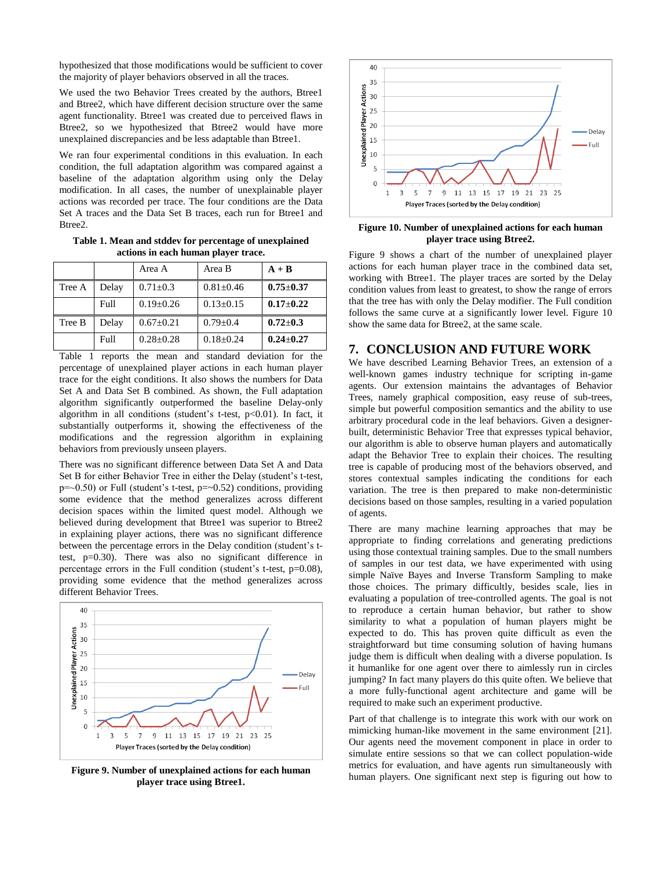hypothesized that those modifications would be sufficient to cover the majority of player behaviors observed in all the traces.

We used the two Behavior Trees created by the authors, Btree1 and Btree2, which have different decision structure over the same agent functionality. Btree1 was created due to perceived flaws in Btree2, so we hypothesized that Btree2 would have more unexplained discrepancies and be less adaptable than Btree1.

We ran four experimental conditions in this evaluation. In each condition, the full adaptation algorithm was compared against a baseline of the adaptation algorithm using only the Delay modification. In all cases, the number of unexplainable player actions was recorded per trace. The four conditions are the Data Set A traces and the Data Set B traces, each run for Btree1 and Btree2.

**Table 1. Mean and stddev for percentage of unexplained actions in each human player trace.**

|        |       | Area A          | Area B          | $A + B$         |
|--------|-------|-----------------|-----------------|-----------------|
| Tree A | Delay | $0.71 \pm 0.3$  | $0.81 \pm 0.46$ | $0.75 \pm 0.37$ |
|        | Full  | $0.19 \pm 0.26$ | $0.13 \pm 0.15$ | $0.17 - 0.22$   |
| Tree B | Delay | $0.67 \pm 0.21$ | $0.79 \pm 0.4$  | $0.72 + 0.3$    |
|        | Full  | $0.28 + 0.28$   | $0.18 + 0.24$   | $0.24 + 0.27$   |

Table 1 reports the mean and standard deviation for the percentage of unexplained player actions in each human player trace for the eight conditions. It also shows the numbers for Data Set A and Data Set B combined. As shown, the Full adaptation algorithm significantly outperformed the baseline Delay-only algorithm in all conditions (student's t-test,  $p<0.01$ ). In fact, it substantially outperforms it, showing the effectiveness of the modifications and the regression algorithm in explaining behaviors from previously unseen players.

There was no significant difference between Data Set A and Data Set B for either Behavior Tree in either the Delay (student's t-test,  $p=-0.50$ ) or Full (student's t-test,  $p=-0.52$ ) conditions, providing some evidence that the method generalizes across different decision spaces within the limited quest model. Although we believed during development that Btree1 was superior to Btree2 in explaining player actions, there was no significant difference between the percentage errors in the Delay condition (student's ttest, p=0.30). There was also no significant difference in percentage errors in the Full condition (student's t-test,  $p=0.08$ ), providing some evidence that the method generalizes across different Behavior Trees.



**Figure 9. Number of unexplained actions for each human player trace using Btree1.**



#### **Figure 10. Number of unexplained actions for each human player trace using Btree2.**

Figure 9 shows a chart of the number of unexplained player actions for each human player trace in the combined data set, working with Btree1. The player traces are sorted by the Delay condition values from least to greatest, to show the range of errors that the tree has with only the Delay modifier. The Full condition follows the same curve at a significantly lower level. Figure 10 show the same data for Btree2, at the same scale.

## **7. CONCLUSION AND FUTURE WORK**

We have described Learning Behavior Trees, an extension of a well-known games industry technique for scripting in-game agents. Our extension maintains the advantages of Behavior Trees, namely graphical composition, easy reuse of sub-trees, simple but powerful composition semantics and the ability to use arbitrary procedural code in the leaf behaviors. Given a designerbuilt, deterministic Behavior Tree that expresses typical behavior, our algorithm is able to observe human players and automatically adapt the Behavior Tree to explain their choices. The resulting tree is capable of producing most of the behaviors observed, and stores contextual samples indicating the conditions for each variation. The tree is then prepared to make non-deterministic decisions based on those samples, resulting in a varied population of agents.

There are many machine learning approaches that may be appropriate to finding correlations and generating predictions using those contextual training samples. Due to the small numbers of samples in our test data, we have experimented with using simple Naïve Bayes and Inverse Transform Sampling to make those choices. The primary difficultly, besides scale, lies in evaluating a population of tree-controlled agents. The goal is not to reproduce a certain human behavior, but rather to show similarity to what a population of human players might be expected to do. This has proven quite difficult as even the straightforward but time consuming solution of having humans judge them is difficult when dealing with a diverse population. Is it humanlike for one agent over there to aimlessly run in circles jumping? In fact many players do this quite often. We believe that a more fully-functional agent architecture and game will be required to make such an experiment productive.

Part of that challenge is to integrate this work with our work on mimicking human-like movement in the same environment [21]. Our agents need the movement component in place in order to simulate entire sessions so that we can collect population-wide metrics for evaluation, and have agents run simultaneously with human players. One significant next step is figuring out how to